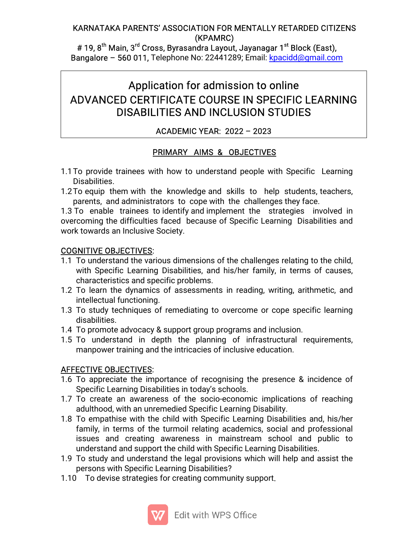#### KARNATAKA PARENTS' ASSOCIATION FOR MENTALLY RETARDED CITIZENS (KPAMRC)

# 19, 8<sup>th</sup> Main, 3<sup>rd</sup> Cross, Byrasandra Layout, Jayanagar 1<sup>st</sup> Block (East), Bangalore – 560 011, Telephone No: 22441289; Email: kpacidd@gmail.com

# Application for admission to online ADVANCED CERTIFICATE COURSE IN SPECIFIC LEARNING DISABILITIES AND INCLUSION STUDIES

### ACADEMICYEAR:2022–2023

### PRIMARY AIMS& OBJECTIVES

- 1.1 To provide trainees with how to understand people with Specific Learning Disabilities.
- 1.2 To equip them with the knowledge and skills to help students, teachers, parents, and administrators to cope with the challenges they face.

1.3 To enable trainees to identify and implement the strategies involved in overcoming the difficulties faced because of Specific Learning Disabilities and work towards an Inclusive Society.

#### COGNITIVE OBJECTIVES:

- 1.1 To understand the various dimensions of the challenges relating to the child, with Specific Learning Disabilities, and his/her family, in terms of causes, characteristics and specific problems.
- 1.2 To learn the dynamics of assessments in reading, writing, arithmetic, and intellectual functioning.
- 1.3 To study techniques of remediating to overcome or cope specific learning disabilities.
- 1.4 To promote advocacy & support group programs and inclusion.
- 1.5 To understand in depth the planning of infrastructural requirements, manpower training and the intricacies of inclusive education.

#### **AFFECTIVE OBJECTIVES:**

- 1.6 To appreciate the importance of recognising the presence & incidence of Specific Learning Disabilities in today's schools.
- 1.7 To create an awareness of the socio-economic implications of reaching adulthood, with an unremedied Specific Learning Disability.
- 1.8 To empathise with the child with Specific Learning Disabilities and, his/her family, in terms of the turmoil relating academics, social and professional issues and creating awareness in mainstream school and public to understand and support the child with Specific Learning Disabilities.
- 1.9 To study and understand the legal provisions which will help and assist the persons with Specific Learning Disabilities?
- 1.10 To devise strategies for creating community support.

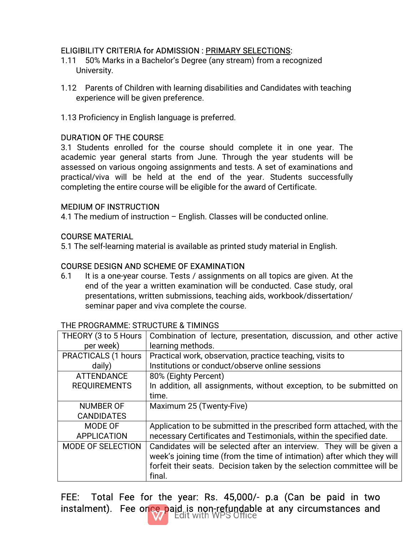## ELIGIBILITY CRITERIA for ADMISSION: PRIMARY SELECTIONS:

- 1.11 50% Marks in a Bachelor's Degree (any stream) from a recognized University.
- 1.12 Parents of Children with learning disabilities and Candidates with teaching experience will be given preference.
- 1.13 Proficiency in English language is preferred.

#### DURATION OF THE COURSE

3.1 Students enrolled for the course should complete it in one year. The academic year general starts from June. Through the year students will be assessed on various ongoing assignments and tests. A set of examinations and practical/viva will be held at the end of the year. Students successfully completing the entire course will be eligible for the award of Certificate.

#### **MEDIUM OF INSTRUCTION**

4.1 The medium of instruction – English. Classes will be conducted online.

#### **COURSE MATERIAL**

5.1 The self-learning material is available as printed study material in English.

#### COURSE DESIGN AND SCHEME OF EXAMINATION

6.1 It is a one-year course. Tests / assignments on all topics are given. At the end of the year a written examination will be conducted. Case study, oral presentations, written submissions, teaching aids, workbook/dissertation/ seminar paper and viva complete the course.

| THEORY (3 to 5 Hours)<br>per week)<br>learning methods.<br><b>PRACTICALS (1 hours</b><br>Practical work, observation, practice teaching, visits to<br>Institutions or conduct/observe online sessions<br>daily)<br>80% (Eighty Percent)<br><b>ATTENDANCE</b><br><b>REQUIREMENTS</b><br>time.<br>Maximum 25 (Twenty-Five)<br><b>NUMBER OF</b><br><b>CANDIDATES</b><br>MODE OF<br>necessary Certificates and Testimonials, within the specified date.<br><b>APPLICATION</b><br>MODE OF SELECTION<br>final. |  |                                                                         |
|----------------------------------------------------------------------------------------------------------------------------------------------------------------------------------------------------------------------------------------------------------------------------------------------------------------------------------------------------------------------------------------------------------------------------------------------------------------------------------------------------------|--|-------------------------------------------------------------------------|
|                                                                                                                                                                                                                                                                                                                                                                                                                                                                                                          |  | Combination of lecture, presentation, discussion, and other active      |
|                                                                                                                                                                                                                                                                                                                                                                                                                                                                                                          |  |                                                                         |
|                                                                                                                                                                                                                                                                                                                                                                                                                                                                                                          |  |                                                                         |
|                                                                                                                                                                                                                                                                                                                                                                                                                                                                                                          |  |                                                                         |
|                                                                                                                                                                                                                                                                                                                                                                                                                                                                                                          |  |                                                                         |
|                                                                                                                                                                                                                                                                                                                                                                                                                                                                                                          |  | In addition, all assignments, without exception, to be submitted on     |
|                                                                                                                                                                                                                                                                                                                                                                                                                                                                                                          |  |                                                                         |
|                                                                                                                                                                                                                                                                                                                                                                                                                                                                                                          |  |                                                                         |
|                                                                                                                                                                                                                                                                                                                                                                                                                                                                                                          |  |                                                                         |
|                                                                                                                                                                                                                                                                                                                                                                                                                                                                                                          |  | Application to be submitted in the prescribed form attached, with the   |
|                                                                                                                                                                                                                                                                                                                                                                                                                                                                                                          |  |                                                                         |
|                                                                                                                                                                                                                                                                                                                                                                                                                                                                                                          |  | Candidates will be selected after an interview. They will be given a    |
|                                                                                                                                                                                                                                                                                                                                                                                                                                                                                                          |  | week's joining time (from the time of intimation) after which they will |
|                                                                                                                                                                                                                                                                                                                                                                                                                                                                                                          |  | forfeit their seats. Decision taken by the selection committee will be  |
|                                                                                                                                                                                                                                                                                                                                                                                                                                                                                                          |  |                                                                         |

#### THE PROGRAMME: STRUCTURE & TIMINGS

FEE: Total Fee for the year: Rs. 45,000/- p.a (Can be paid in two instalment). Fee once paid is non-refundable at any circumstances and

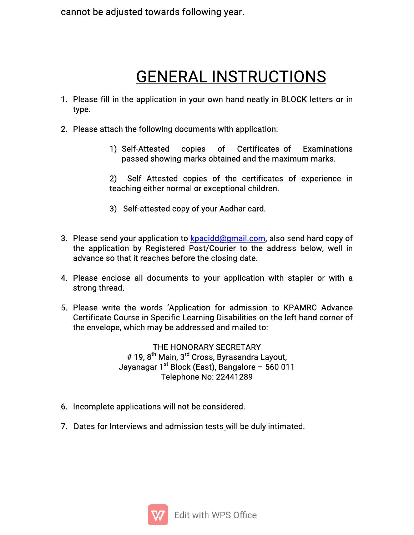cannot be adjusted towards following year.

# **GENERAL INSTRUCTIONS**

- 1. Please fill in the application in your own hand neatly in BLOCK letters or in type.
- 2. Please attach the following documents with application:
	- 1) Self-Attested copies of Certificates of Examinations passed showing marks obtained and the maximum marks.

2) Self Attested copies of the certificates of experience in teaching either normal or exceptional children.

- 3) Self-attested copy of your Aadhar card.
- 3. Please send your application to **kpacidd@gmail.com, also send hard copy of** the application by Registered Post/Courier to the address below, well in advance so that it reaches before the closing date.
- 4. Please enclose all documents to your application with stapler or with a strong thread.
- 5. Please write the words 'Application for admission to KPAMRC Advance Certificate Course in Specific Learning Disabilities on the left hand corner of the envelope, which may be addressed and mailed to:

THE HONORARY SECRETARY # 19. 8<sup>th</sup> Main. 3<sup>rd</sup> Cross. Bvrasandra Lavout. Jayanagar  $1^{st}$  Block (East), Bangalore – 560 011 Telephone No: 22441289

- 6. Incomplete applications will not be considered.
- 7. Dates for Interviews and admission tests will be duly intimated.

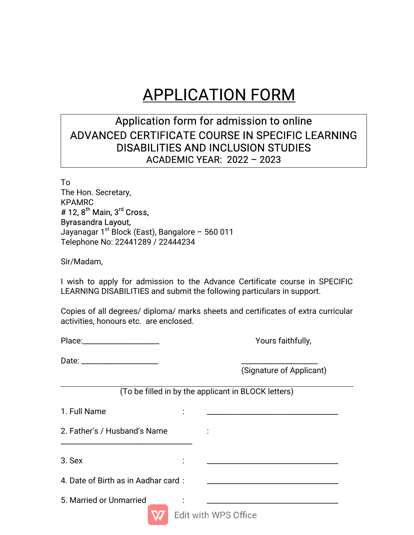# **APPLICATION FORM**

# Application form for admission to online ADVANCED CERTIFICATE COURSE IN SPECIFIC LEARNING DISABILITIES AND INCLUSION STUDIES ACADEMICYEAR:2022–2023

To The Hon. Secretary, KPAMRC  $#$  12,  $8^{th}$  Main,  $3^{rd}$  Cross, Byrasandra Layout, Jayanagar  $1<sup>st</sup>$  Block (East), Bangalore – 560 011 Telephone No: 22441289 / 22444234

Sir/Madam,

I wish to apply for admission to the Advance Certificate course in SPECIFIC LEARNING DISABILITIES and submit the following particulars in support.

Copies of all degrees/ diploma/ marks sheets and certificates of extra curricular activities, honours etc. are enclosed.

| Place: |  |  |
|--------|--|--|
|        |  |  |

Yours faithfully,

| Date:<br>. |  |
|------------|--|
|------------|--|

(Signature of Applicant)

(To be filled in by the applicant in BLOCK letters)

| 1. Full Name                        |           |                      |  |
|-------------------------------------|-----------|----------------------|--|
| 2. Father's / Husband's Name        |           | $\bullet$            |  |
| 3. Sex                              | $\bullet$ |                      |  |
| 4. Date of Birth as in Aadhar card: |           |                      |  |
| 5. Married or Unmarried             |           | Edit with WPS Office |  |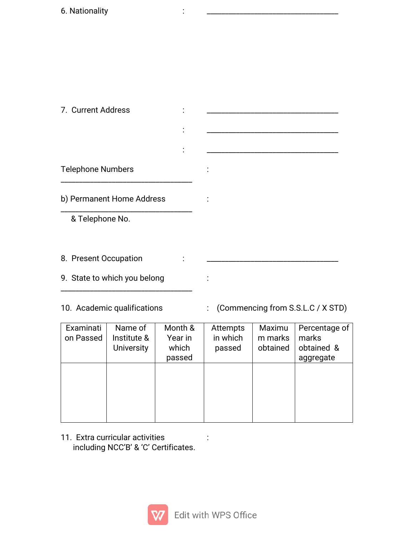| 7. Current Address           |           |           |  |
|------------------------------|-----------|-----------|--|
|                              |           |           |  |
|                              | $\bullet$ |           |  |
| <b>Telephone Numbers</b>     |           | $\bullet$ |  |
| b) Permanent Home Address    |           | $\bullet$ |  |
| & Telephone No.              |           |           |  |
|                              |           |           |  |
| 8. Present Occupation        |           |           |  |
| 9. State to which you belong |           |           |  |

- 
- 10. Academic qualifications : (Commencing from S.S.L.C / X STD)

| Examinati<br>on Passed | Name of<br>Institute &<br><b>University</b> | Month &<br>Year in<br>which<br>passed | Attempts<br>in which<br>passed | Maximu<br>m marks<br>obtained | Percentage of<br>marks<br>obtained &<br>aggregate |
|------------------------|---------------------------------------------|---------------------------------------|--------------------------------|-------------------------------|---------------------------------------------------|
|                        |                                             |                                       |                                |                               |                                                   |

 $\mathcal{L}_\text{max}$  and  $\mathcal{L}_\text{max}$  and  $\mathcal{L}_\text{max}$  and  $\mathcal{L}_\text{max}$  and  $\mathcal{L}_\text{max}$ 

11. Extra curricular activities : including NCC'B' & 'C' Certificates.

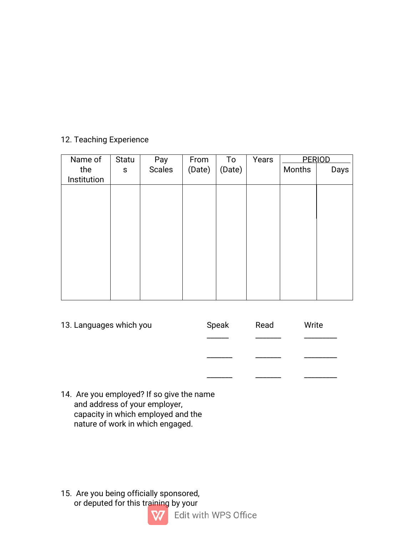#### 12. Teaching Experience

| Name of     | Statu       | Pay    | From   | To     | Years |        | PERIOD |
|-------------|-------------|--------|--------|--------|-------|--------|--------|
| the         | $\mathsf S$ | Scales | (Date) | (Date) |       | Months | Days   |
| Institution |             |        |        |        |       |        |        |
|             |             |        |        |        |       |        |        |
|             |             |        |        |        |       |        |        |
|             |             |        |        |        |       |        |        |
|             |             |        |        |        |       |        |        |
|             |             |        |        |        |       |        |        |
|             |             |        |        |        |       |        |        |
|             |             |        |        |        |       |        |        |
|             |             |        |        |        |       |        |        |
|             |             |        |        |        |       |        |        |
|             |             |        |        |        |       |        |        |

| 13. Languages which you | Speak | Read | Write |  |
|-------------------------|-------|------|-------|--|
|                         |       |      |       |  |
|                         |       |      |       |  |
|                         |       |      |       |  |

14. Are you employed? If so give the name and address of your employer, capacity in which employed and the nature of work in which engaged.

15. Are you being officially sponsored, or deputed for this training by your

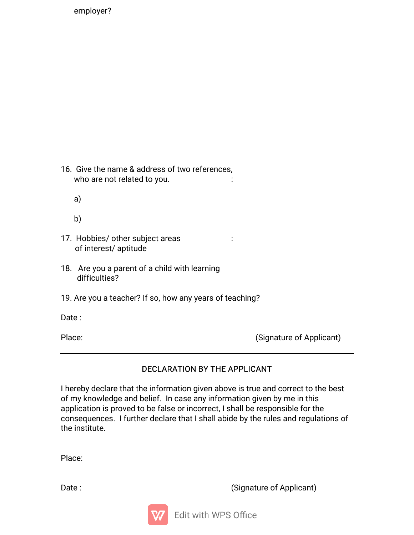employer?

16. Give the name & address of two references, who are not related to you.

a)

b)  $\Box$ 

- 17. Hobbies/ other subject areas : of interest/ aptitude
- 18. Are you a parent of a child with learning difficulties?
- 19. Are you a teacher? If so, how any years of teaching?

Date: when the contract of the contract of the contract of the contract of the contract of the contract of the contract of the contract of the contract of the contract of the contract of the contract of the contract of the

Place: (Signature of Applicant)

## DECLARATION BY THE APPLICANT

I hereby declare that the information given above is true and correct to the best of my knowledge and belief. In case any information given by me in this application is proved to be false or incorrect, I shall be responsible for the consequences. I further declare that I shall abide by the rules and regulations of the institute.

Place:

Date: (Signature of Applicant)